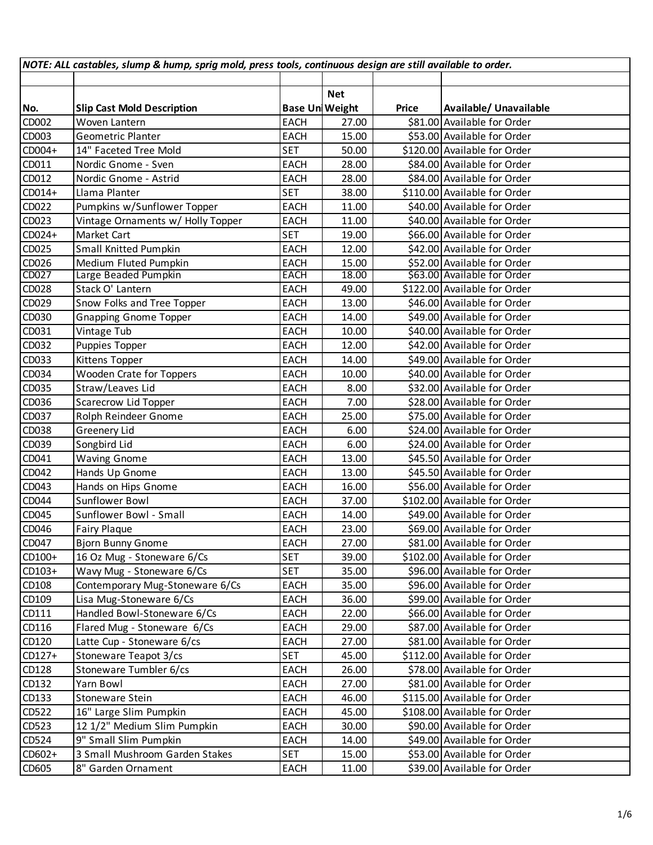| <b>Net</b><br><b>Base Un Weight</b><br>Price<br>Available/ Unavailable<br><b>Slip Cast Mold Description</b><br>\$81.00 Available for Order<br><b>EACH</b><br>27.00<br>Woven Lantern<br><b>EACH</b><br>\$53.00 Available for Order<br><b>Geometric Planter</b><br>15.00<br><b>SET</b><br>\$120.00 Available for Order<br>14" Faceted Tree Mold<br>50.00<br><b>EACH</b><br>\$84.00 Available for Order<br>Nordic Gnome - Sven<br>28.00<br><b>EACH</b><br>\$84.00 Available for Order<br>Nordic Gnome - Astrid<br>28.00<br><b>SET</b><br>Llama Planter<br>\$110.00 Available for Order<br>38.00<br>Pumpkins w/Sunflower Topper<br>\$40.00 Available for Order<br><b>EACH</b><br>11.00<br>\$40.00 Available for Order<br>Vintage Ornaments w/ Holly Topper<br><b>EACH</b><br>11.00<br><b>SET</b><br>\$66.00 Available for Order<br>Market Cart<br>19.00<br><b>Small Knitted Pumpkin</b><br><b>EACH</b><br>\$42.00 Available for Order<br>12.00<br>Medium Fluted Pumpkin<br><b>EACH</b><br>\$52.00 Available for Order<br>15.00<br>Large Beaded Pumpkin<br><b>EACH</b><br>18.00<br>\$63.00 Available for Order<br>Stack O' Lantern<br><b>EACH</b><br>\$122.00 Available for Order<br>49.00<br>Snow Folks and Tree Topper<br><b>EACH</b><br>\$46.00 Available for Order<br>13.00<br>\$49.00 Available for Order<br><b>EACH</b><br><b>Gnapping Gnome Topper</b><br>14.00<br>Vintage Tub<br><b>EACH</b><br>\$40.00 Available for Order<br>10.00<br>Puppies Topper<br><b>EACH</b><br>\$42.00 Available for Order<br>12.00<br>Kittens Topper<br><b>EACH</b><br>14.00<br>\$49.00 Available for Order<br><b>Wooden Crate for Toppers</b><br><b>EACH</b><br>10.00<br>\$40.00 Available for Order<br>Straw/Leaves Lid<br><b>EACH</b><br>\$32.00 Available for Order<br>8.00<br>EACH<br>Scarecrow Lid Topper<br>7.00<br>\$28.00 Available for Order<br><b>EACH</b><br>\$75.00 Available for Order<br>Rolph Reindeer Gnome<br>25.00<br>Greenery Lid<br><b>EACH</b><br>6.00<br>\$24.00 Available for Order<br><b>EACH</b><br>6.00<br>\$24.00 Available for Order<br>Songbird Lid<br><b>EACH</b><br>\$45.50 Available for Order<br>13.00<br><b>Waving Gnome</b><br><b>EACH</b><br>\$45.50 Available for Order<br>Hands Up Gnome<br>13.00<br>Hands on Hips Gnome<br><b>EACH</b><br>16.00<br>\$56.00 Available for Order<br>Sunflower Bowl<br><b>EACH</b><br>37.00<br>\$102.00 Available for Order<br>\$49.00 Available for Order<br>Sunflower Bowl - Small<br><b>EACH</b><br>14.00<br>\$69.00 Available for Order<br>EACH<br>Fairy Plaque<br>23.00<br><b>Bjorn Bunny Gnome</b><br><b>EACH</b><br>27.00<br>\$81.00 Available for Order<br><b>SET</b><br>\$102.00 Available for Order<br>16 Oz Mug - Stoneware 6/Cs<br>39.00<br><b>SET</b><br>Wavy Mug - Stoneware 6/Cs<br>\$96.00 Available for Order<br>35.00<br>Contemporary Mug-Stoneware 6/Cs<br>35.00<br>\$96.00 Available for Order<br><b>EACH</b><br>Lisa Mug-Stoneware 6/Cs<br>EACH<br>\$99.00 Available for Order<br>36.00<br>Handled Bowl-Stoneware 6/Cs<br>EACH<br>\$66.00 Available for Order<br>22.00<br>Flared Mug - Stoneware 6/Cs<br><b>EACH</b><br>29.00<br>\$87.00 Available for Order<br>Latte Cup - Stoneware 6/cs<br>\$81.00 Available for Order<br><b>EACH</b><br>27.00<br><b>SET</b><br>\$112.00 Available for Order<br>Stoneware Teapot 3/cs<br>45.00<br>Stoneware Tumbler 6/cs<br>EACH<br>\$78.00 Available for Order<br>26.00<br>Yarn Bowl<br><b>EACH</b><br>27.00<br>\$81.00 Available for Order<br>Stoneware Stein<br><b>EACH</b><br>46.00<br>\$115.00 Available for Order<br>16" Large Slim Pumpkin<br>45.00<br>\$108.00 Available for Order<br><b>EACH</b><br>12 1/2" Medium Slim Pumpkin<br>EACH<br>30.00<br>\$90.00 Available for Order<br>9" Small Slim Pumpkin<br>\$49.00 Available for Order<br>EACH<br>14.00<br>3 Small Mushroom Garden Stakes<br><b>SET</b><br>15.00<br>\$53.00 Available for Order<br>8" Garden Ornament<br><b>EACH</b><br>\$39.00 Available for Order<br>11.00 | NOTE: ALL castables, slump & hump, sprig mold, press tools, continuous design are still available to order. |  |  |  |  |  |  |
|---------------------------------------------------------------------------------------------------------------------------------------------------------------------------------------------------------------------------------------------------------------------------------------------------------------------------------------------------------------------------------------------------------------------------------------------------------------------------------------------------------------------------------------------------------------------------------------------------------------------------------------------------------------------------------------------------------------------------------------------------------------------------------------------------------------------------------------------------------------------------------------------------------------------------------------------------------------------------------------------------------------------------------------------------------------------------------------------------------------------------------------------------------------------------------------------------------------------------------------------------------------------------------------------------------------------------------------------------------------------------------------------------------------------------------------------------------------------------------------------------------------------------------------------------------------------------------------------------------------------------------------------------------------------------------------------------------------------------------------------------------------------------------------------------------------------------------------------------------------------------------------------------------------------------------------------------------------------------------------------------------------------------------------------------------------------------------------------------------------------------------------------------------------------------------------------------------------------------------------------------------------------------------------------------------------------------------------------------------------------------------------------------------------------------------------------------------------------------------------------------------------------------------------------------------------------------------------------------------------------------------------------------------------------------------------------------------------------------------------------------------------------------------------------------------------------------------------------------------------------------------------------------------------------------------------------------------------------------------------------------------------------------------------------------------------------------------------------------------------------------------------------------------------------------------------------------------------------------------------------------------------------------------------------------------------------------------------------------------------------------------------------------------------------------------------------------------------------------------------------------------------------------------------------------------------------------------------------------------------------------------------------------------------------------------------------------------------------------------------------------------------------------------------------------------------------------------------------------------------------------------------------------------------------------------------------------|-------------------------------------------------------------------------------------------------------------|--|--|--|--|--|--|
|                                                                                                                                                                                                                                                                                                                                                                                                                                                                                                                                                                                                                                                                                                                                                                                                                                                                                                                                                                                                                                                                                                                                                                                                                                                                                                                                                                                                                                                                                                                                                                                                                                                                                                                                                                                                                                                                                                                                                                                                                                                                                                                                                                                                                                                                                                                                                                                                                                                                                                                                                                                                                                                                                                                                                                                                                                                                                                                                                                                                                                                                                                                                                                                                                                                                                                                                                                                                                                                                                                                                                                                                                                                                                                                                                                                                                                                                                                                                                   |                                                                                                             |  |  |  |  |  |  |
|                                                                                                                                                                                                                                                                                                                                                                                                                                                                                                                                                                                                                                                                                                                                                                                                                                                                                                                                                                                                                                                                                                                                                                                                                                                                                                                                                                                                                                                                                                                                                                                                                                                                                                                                                                                                                                                                                                                                                                                                                                                                                                                                                                                                                                                                                                                                                                                                                                                                                                                                                                                                                                                                                                                                                                                                                                                                                                                                                                                                                                                                                                                                                                                                                                                                                                                                                                                                                                                                                                                                                                                                                                                                                                                                                                                                                                                                                                                                                   |                                                                                                             |  |  |  |  |  |  |
|                                                                                                                                                                                                                                                                                                                                                                                                                                                                                                                                                                                                                                                                                                                                                                                                                                                                                                                                                                                                                                                                                                                                                                                                                                                                                                                                                                                                                                                                                                                                                                                                                                                                                                                                                                                                                                                                                                                                                                                                                                                                                                                                                                                                                                                                                                                                                                                                                                                                                                                                                                                                                                                                                                                                                                                                                                                                                                                                                                                                                                                                                                                                                                                                                                                                                                                                                                                                                                                                                                                                                                                                                                                                                                                                                                                                                                                                                                                                                   | No.                                                                                                         |  |  |  |  |  |  |
|                                                                                                                                                                                                                                                                                                                                                                                                                                                                                                                                                                                                                                                                                                                                                                                                                                                                                                                                                                                                                                                                                                                                                                                                                                                                                                                                                                                                                                                                                                                                                                                                                                                                                                                                                                                                                                                                                                                                                                                                                                                                                                                                                                                                                                                                                                                                                                                                                                                                                                                                                                                                                                                                                                                                                                                                                                                                                                                                                                                                                                                                                                                                                                                                                                                                                                                                                                                                                                                                                                                                                                                                                                                                                                                                                                                                                                                                                                                                                   | CD002                                                                                                       |  |  |  |  |  |  |
|                                                                                                                                                                                                                                                                                                                                                                                                                                                                                                                                                                                                                                                                                                                                                                                                                                                                                                                                                                                                                                                                                                                                                                                                                                                                                                                                                                                                                                                                                                                                                                                                                                                                                                                                                                                                                                                                                                                                                                                                                                                                                                                                                                                                                                                                                                                                                                                                                                                                                                                                                                                                                                                                                                                                                                                                                                                                                                                                                                                                                                                                                                                                                                                                                                                                                                                                                                                                                                                                                                                                                                                                                                                                                                                                                                                                                                                                                                                                                   | CD003                                                                                                       |  |  |  |  |  |  |
|                                                                                                                                                                                                                                                                                                                                                                                                                                                                                                                                                                                                                                                                                                                                                                                                                                                                                                                                                                                                                                                                                                                                                                                                                                                                                                                                                                                                                                                                                                                                                                                                                                                                                                                                                                                                                                                                                                                                                                                                                                                                                                                                                                                                                                                                                                                                                                                                                                                                                                                                                                                                                                                                                                                                                                                                                                                                                                                                                                                                                                                                                                                                                                                                                                                                                                                                                                                                                                                                                                                                                                                                                                                                                                                                                                                                                                                                                                                                                   | CD004+                                                                                                      |  |  |  |  |  |  |
|                                                                                                                                                                                                                                                                                                                                                                                                                                                                                                                                                                                                                                                                                                                                                                                                                                                                                                                                                                                                                                                                                                                                                                                                                                                                                                                                                                                                                                                                                                                                                                                                                                                                                                                                                                                                                                                                                                                                                                                                                                                                                                                                                                                                                                                                                                                                                                                                                                                                                                                                                                                                                                                                                                                                                                                                                                                                                                                                                                                                                                                                                                                                                                                                                                                                                                                                                                                                                                                                                                                                                                                                                                                                                                                                                                                                                                                                                                                                                   | CD011                                                                                                       |  |  |  |  |  |  |
|                                                                                                                                                                                                                                                                                                                                                                                                                                                                                                                                                                                                                                                                                                                                                                                                                                                                                                                                                                                                                                                                                                                                                                                                                                                                                                                                                                                                                                                                                                                                                                                                                                                                                                                                                                                                                                                                                                                                                                                                                                                                                                                                                                                                                                                                                                                                                                                                                                                                                                                                                                                                                                                                                                                                                                                                                                                                                                                                                                                                                                                                                                                                                                                                                                                                                                                                                                                                                                                                                                                                                                                                                                                                                                                                                                                                                                                                                                                                                   | CD012                                                                                                       |  |  |  |  |  |  |
|                                                                                                                                                                                                                                                                                                                                                                                                                                                                                                                                                                                                                                                                                                                                                                                                                                                                                                                                                                                                                                                                                                                                                                                                                                                                                                                                                                                                                                                                                                                                                                                                                                                                                                                                                                                                                                                                                                                                                                                                                                                                                                                                                                                                                                                                                                                                                                                                                                                                                                                                                                                                                                                                                                                                                                                                                                                                                                                                                                                                                                                                                                                                                                                                                                                                                                                                                                                                                                                                                                                                                                                                                                                                                                                                                                                                                                                                                                                                                   | $CD014+$                                                                                                    |  |  |  |  |  |  |
|                                                                                                                                                                                                                                                                                                                                                                                                                                                                                                                                                                                                                                                                                                                                                                                                                                                                                                                                                                                                                                                                                                                                                                                                                                                                                                                                                                                                                                                                                                                                                                                                                                                                                                                                                                                                                                                                                                                                                                                                                                                                                                                                                                                                                                                                                                                                                                                                                                                                                                                                                                                                                                                                                                                                                                                                                                                                                                                                                                                                                                                                                                                                                                                                                                                                                                                                                                                                                                                                                                                                                                                                                                                                                                                                                                                                                                                                                                                                                   | CD022                                                                                                       |  |  |  |  |  |  |
|                                                                                                                                                                                                                                                                                                                                                                                                                                                                                                                                                                                                                                                                                                                                                                                                                                                                                                                                                                                                                                                                                                                                                                                                                                                                                                                                                                                                                                                                                                                                                                                                                                                                                                                                                                                                                                                                                                                                                                                                                                                                                                                                                                                                                                                                                                                                                                                                                                                                                                                                                                                                                                                                                                                                                                                                                                                                                                                                                                                                                                                                                                                                                                                                                                                                                                                                                                                                                                                                                                                                                                                                                                                                                                                                                                                                                                                                                                                                                   | CD023                                                                                                       |  |  |  |  |  |  |
|                                                                                                                                                                                                                                                                                                                                                                                                                                                                                                                                                                                                                                                                                                                                                                                                                                                                                                                                                                                                                                                                                                                                                                                                                                                                                                                                                                                                                                                                                                                                                                                                                                                                                                                                                                                                                                                                                                                                                                                                                                                                                                                                                                                                                                                                                                                                                                                                                                                                                                                                                                                                                                                                                                                                                                                                                                                                                                                                                                                                                                                                                                                                                                                                                                                                                                                                                                                                                                                                                                                                                                                                                                                                                                                                                                                                                                                                                                                                                   | CD024+                                                                                                      |  |  |  |  |  |  |
|                                                                                                                                                                                                                                                                                                                                                                                                                                                                                                                                                                                                                                                                                                                                                                                                                                                                                                                                                                                                                                                                                                                                                                                                                                                                                                                                                                                                                                                                                                                                                                                                                                                                                                                                                                                                                                                                                                                                                                                                                                                                                                                                                                                                                                                                                                                                                                                                                                                                                                                                                                                                                                                                                                                                                                                                                                                                                                                                                                                                                                                                                                                                                                                                                                                                                                                                                                                                                                                                                                                                                                                                                                                                                                                                                                                                                                                                                                                                                   | CD025                                                                                                       |  |  |  |  |  |  |
|                                                                                                                                                                                                                                                                                                                                                                                                                                                                                                                                                                                                                                                                                                                                                                                                                                                                                                                                                                                                                                                                                                                                                                                                                                                                                                                                                                                                                                                                                                                                                                                                                                                                                                                                                                                                                                                                                                                                                                                                                                                                                                                                                                                                                                                                                                                                                                                                                                                                                                                                                                                                                                                                                                                                                                                                                                                                                                                                                                                                                                                                                                                                                                                                                                                                                                                                                                                                                                                                                                                                                                                                                                                                                                                                                                                                                                                                                                                                                   | CD026                                                                                                       |  |  |  |  |  |  |
|                                                                                                                                                                                                                                                                                                                                                                                                                                                                                                                                                                                                                                                                                                                                                                                                                                                                                                                                                                                                                                                                                                                                                                                                                                                                                                                                                                                                                                                                                                                                                                                                                                                                                                                                                                                                                                                                                                                                                                                                                                                                                                                                                                                                                                                                                                                                                                                                                                                                                                                                                                                                                                                                                                                                                                                                                                                                                                                                                                                                                                                                                                                                                                                                                                                                                                                                                                                                                                                                                                                                                                                                                                                                                                                                                                                                                                                                                                                                                   | CD027                                                                                                       |  |  |  |  |  |  |
|                                                                                                                                                                                                                                                                                                                                                                                                                                                                                                                                                                                                                                                                                                                                                                                                                                                                                                                                                                                                                                                                                                                                                                                                                                                                                                                                                                                                                                                                                                                                                                                                                                                                                                                                                                                                                                                                                                                                                                                                                                                                                                                                                                                                                                                                                                                                                                                                                                                                                                                                                                                                                                                                                                                                                                                                                                                                                                                                                                                                                                                                                                                                                                                                                                                                                                                                                                                                                                                                                                                                                                                                                                                                                                                                                                                                                                                                                                                                                   | CD028                                                                                                       |  |  |  |  |  |  |
|                                                                                                                                                                                                                                                                                                                                                                                                                                                                                                                                                                                                                                                                                                                                                                                                                                                                                                                                                                                                                                                                                                                                                                                                                                                                                                                                                                                                                                                                                                                                                                                                                                                                                                                                                                                                                                                                                                                                                                                                                                                                                                                                                                                                                                                                                                                                                                                                                                                                                                                                                                                                                                                                                                                                                                                                                                                                                                                                                                                                                                                                                                                                                                                                                                                                                                                                                                                                                                                                                                                                                                                                                                                                                                                                                                                                                                                                                                                                                   | CD029                                                                                                       |  |  |  |  |  |  |
|                                                                                                                                                                                                                                                                                                                                                                                                                                                                                                                                                                                                                                                                                                                                                                                                                                                                                                                                                                                                                                                                                                                                                                                                                                                                                                                                                                                                                                                                                                                                                                                                                                                                                                                                                                                                                                                                                                                                                                                                                                                                                                                                                                                                                                                                                                                                                                                                                                                                                                                                                                                                                                                                                                                                                                                                                                                                                                                                                                                                                                                                                                                                                                                                                                                                                                                                                                                                                                                                                                                                                                                                                                                                                                                                                                                                                                                                                                                                                   | CD030                                                                                                       |  |  |  |  |  |  |
|                                                                                                                                                                                                                                                                                                                                                                                                                                                                                                                                                                                                                                                                                                                                                                                                                                                                                                                                                                                                                                                                                                                                                                                                                                                                                                                                                                                                                                                                                                                                                                                                                                                                                                                                                                                                                                                                                                                                                                                                                                                                                                                                                                                                                                                                                                                                                                                                                                                                                                                                                                                                                                                                                                                                                                                                                                                                                                                                                                                                                                                                                                                                                                                                                                                                                                                                                                                                                                                                                                                                                                                                                                                                                                                                                                                                                                                                                                                                                   | CD031                                                                                                       |  |  |  |  |  |  |
|                                                                                                                                                                                                                                                                                                                                                                                                                                                                                                                                                                                                                                                                                                                                                                                                                                                                                                                                                                                                                                                                                                                                                                                                                                                                                                                                                                                                                                                                                                                                                                                                                                                                                                                                                                                                                                                                                                                                                                                                                                                                                                                                                                                                                                                                                                                                                                                                                                                                                                                                                                                                                                                                                                                                                                                                                                                                                                                                                                                                                                                                                                                                                                                                                                                                                                                                                                                                                                                                                                                                                                                                                                                                                                                                                                                                                                                                                                                                                   | CD032                                                                                                       |  |  |  |  |  |  |
|                                                                                                                                                                                                                                                                                                                                                                                                                                                                                                                                                                                                                                                                                                                                                                                                                                                                                                                                                                                                                                                                                                                                                                                                                                                                                                                                                                                                                                                                                                                                                                                                                                                                                                                                                                                                                                                                                                                                                                                                                                                                                                                                                                                                                                                                                                                                                                                                                                                                                                                                                                                                                                                                                                                                                                                                                                                                                                                                                                                                                                                                                                                                                                                                                                                                                                                                                                                                                                                                                                                                                                                                                                                                                                                                                                                                                                                                                                                                                   | CD033                                                                                                       |  |  |  |  |  |  |
|                                                                                                                                                                                                                                                                                                                                                                                                                                                                                                                                                                                                                                                                                                                                                                                                                                                                                                                                                                                                                                                                                                                                                                                                                                                                                                                                                                                                                                                                                                                                                                                                                                                                                                                                                                                                                                                                                                                                                                                                                                                                                                                                                                                                                                                                                                                                                                                                                                                                                                                                                                                                                                                                                                                                                                                                                                                                                                                                                                                                                                                                                                                                                                                                                                                                                                                                                                                                                                                                                                                                                                                                                                                                                                                                                                                                                                                                                                                                                   | CD034                                                                                                       |  |  |  |  |  |  |
|                                                                                                                                                                                                                                                                                                                                                                                                                                                                                                                                                                                                                                                                                                                                                                                                                                                                                                                                                                                                                                                                                                                                                                                                                                                                                                                                                                                                                                                                                                                                                                                                                                                                                                                                                                                                                                                                                                                                                                                                                                                                                                                                                                                                                                                                                                                                                                                                                                                                                                                                                                                                                                                                                                                                                                                                                                                                                                                                                                                                                                                                                                                                                                                                                                                                                                                                                                                                                                                                                                                                                                                                                                                                                                                                                                                                                                                                                                                                                   | CD035                                                                                                       |  |  |  |  |  |  |
|                                                                                                                                                                                                                                                                                                                                                                                                                                                                                                                                                                                                                                                                                                                                                                                                                                                                                                                                                                                                                                                                                                                                                                                                                                                                                                                                                                                                                                                                                                                                                                                                                                                                                                                                                                                                                                                                                                                                                                                                                                                                                                                                                                                                                                                                                                                                                                                                                                                                                                                                                                                                                                                                                                                                                                                                                                                                                                                                                                                                                                                                                                                                                                                                                                                                                                                                                                                                                                                                                                                                                                                                                                                                                                                                                                                                                                                                                                                                                   | CD036                                                                                                       |  |  |  |  |  |  |
|                                                                                                                                                                                                                                                                                                                                                                                                                                                                                                                                                                                                                                                                                                                                                                                                                                                                                                                                                                                                                                                                                                                                                                                                                                                                                                                                                                                                                                                                                                                                                                                                                                                                                                                                                                                                                                                                                                                                                                                                                                                                                                                                                                                                                                                                                                                                                                                                                                                                                                                                                                                                                                                                                                                                                                                                                                                                                                                                                                                                                                                                                                                                                                                                                                                                                                                                                                                                                                                                                                                                                                                                                                                                                                                                                                                                                                                                                                                                                   | CD037                                                                                                       |  |  |  |  |  |  |
|                                                                                                                                                                                                                                                                                                                                                                                                                                                                                                                                                                                                                                                                                                                                                                                                                                                                                                                                                                                                                                                                                                                                                                                                                                                                                                                                                                                                                                                                                                                                                                                                                                                                                                                                                                                                                                                                                                                                                                                                                                                                                                                                                                                                                                                                                                                                                                                                                                                                                                                                                                                                                                                                                                                                                                                                                                                                                                                                                                                                                                                                                                                                                                                                                                                                                                                                                                                                                                                                                                                                                                                                                                                                                                                                                                                                                                                                                                                                                   | CD038                                                                                                       |  |  |  |  |  |  |
|                                                                                                                                                                                                                                                                                                                                                                                                                                                                                                                                                                                                                                                                                                                                                                                                                                                                                                                                                                                                                                                                                                                                                                                                                                                                                                                                                                                                                                                                                                                                                                                                                                                                                                                                                                                                                                                                                                                                                                                                                                                                                                                                                                                                                                                                                                                                                                                                                                                                                                                                                                                                                                                                                                                                                                                                                                                                                                                                                                                                                                                                                                                                                                                                                                                                                                                                                                                                                                                                                                                                                                                                                                                                                                                                                                                                                                                                                                                                                   | CD039                                                                                                       |  |  |  |  |  |  |
|                                                                                                                                                                                                                                                                                                                                                                                                                                                                                                                                                                                                                                                                                                                                                                                                                                                                                                                                                                                                                                                                                                                                                                                                                                                                                                                                                                                                                                                                                                                                                                                                                                                                                                                                                                                                                                                                                                                                                                                                                                                                                                                                                                                                                                                                                                                                                                                                                                                                                                                                                                                                                                                                                                                                                                                                                                                                                                                                                                                                                                                                                                                                                                                                                                                                                                                                                                                                                                                                                                                                                                                                                                                                                                                                                                                                                                                                                                                                                   | CD041                                                                                                       |  |  |  |  |  |  |
|                                                                                                                                                                                                                                                                                                                                                                                                                                                                                                                                                                                                                                                                                                                                                                                                                                                                                                                                                                                                                                                                                                                                                                                                                                                                                                                                                                                                                                                                                                                                                                                                                                                                                                                                                                                                                                                                                                                                                                                                                                                                                                                                                                                                                                                                                                                                                                                                                                                                                                                                                                                                                                                                                                                                                                                                                                                                                                                                                                                                                                                                                                                                                                                                                                                                                                                                                                                                                                                                                                                                                                                                                                                                                                                                                                                                                                                                                                                                                   | CD042                                                                                                       |  |  |  |  |  |  |
|                                                                                                                                                                                                                                                                                                                                                                                                                                                                                                                                                                                                                                                                                                                                                                                                                                                                                                                                                                                                                                                                                                                                                                                                                                                                                                                                                                                                                                                                                                                                                                                                                                                                                                                                                                                                                                                                                                                                                                                                                                                                                                                                                                                                                                                                                                                                                                                                                                                                                                                                                                                                                                                                                                                                                                                                                                                                                                                                                                                                                                                                                                                                                                                                                                                                                                                                                                                                                                                                                                                                                                                                                                                                                                                                                                                                                                                                                                                                                   | CD043                                                                                                       |  |  |  |  |  |  |
|                                                                                                                                                                                                                                                                                                                                                                                                                                                                                                                                                                                                                                                                                                                                                                                                                                                                                                                                                                                                                                                                                                                                                                                                                                                                                                                                                                                                                                                                                                                                                                                                                                                                                                                                                                                                                                                                                                                                                                                                                                                                                                                                                                                                                                                                                                                                                                                                                                                                                                                                                                                                                                                                                                                                                                                                                                                                                                                                                                                                                                                                                                                                                                                                                                                                                                                                                                                                                                                                                                                                                                                                                                                                                                                                                                                                                                                                                                                                                   | CD044                                                                                                       |  |  |  |  |  |  |
|                                                                                                                                                                                                                                                                                                                                                                                                                                                                                                                                                                                                                                                                                                                                                                                                                                                                                                                                                                                                                                                                                                                                                                                                                                                                                                                                                                                                                                                                                                                                                                                                                                                                                                                                                                                                                                                                                                                                                                                                                                                                                                                                                                                                                                                                                                                                                                                                                                                                                                                                                                                                                                                                                                                                                                                                                                                                                                                                                                                                                                                                                                                                                                                                                                                                                                                                                                                                                                                                                                                                                                                                                                                                                                                                                                                                                                                                                                                                                   | CD045                                                                                                       |  |  |  |  |  |  |
|                                                                                                                                                                                                                                                                                                                                                                                                                                                                                                                                                                                                                                                                                                                                                                                                                                                                                                                                                                                                                                                                                                                                                                                                                                                                                                                                                                                                                                                                                                                                                                                                                                                                                                                                                                                                                                                                                                                                                                                                                                                                                                                                                                                                                                                                                                                                                                                                                                                                                                                                                                                                                                                                                                                                                                                                                                                                                                                                                                                                                                                                                                                                                                                                                                                                                                                                                                                                                                                                                                                                                                                                                                                                                                                                                                                                                                                                                                                                                   | CD046                                                                                                       |  |  |  |  |  |  |
|                                                                                                                                                                                                                                                                                                                                                                                                                                                                                                                                                                                                                                                                                                                                                                                                                                                                                                                                                                                                                                                                                                                                                                                                                                                                                                                                                                                                                                                                                                                                                                                                                                                                                                                                                                                                                                                                                                                                                                                                                                                                                                                                                                                                                                                                                                                                                                                                                                                                                                                                                                                                                                                                                                                                                                                                                                                                                                                                                                                                                                                                                                                                                                                                                                                                                                                                                                                                                                                                                                                                                                                                                                                                                                                                                                                                                                                                                                                                                   | CD047                                                                                                       |  |  |  |  |  |  |
|                                                                                                                                                                                                                                                                                                                                                                                                                                                                                                                                                                                                                                                                                                                                                                                                                                                                                                                                                                                                                                                                                                                                                                                                                                                                                                                                                                                                                                                                                                                                                                                                                                                                                                                                                                                                                                                                                                                                                                                                                                                                                                                                                                                                                                                                                                                                                                                                                                                                                                                                                                                                                                                                                                                                                                                                                                                                                                                                                                                                                                                                                                                                                                                                                                                                                                                                                                                                                                                                                                                                                                                                                                                                                                                                                                                                                                                                                                                                                   | CD100+                                                                                                      |  |  |  |  |  |  |
|                                                                                                                                                                                                                                                                                                                                                                                                                                                                                                                                                                                                                                                                                                                                                                                                                                                                                                                                                                                                                                                                                                                                                                                                                                                                                                                                                                                                                                                                                                                                                                                                                                                                                                                                                                                                                                                                                                                                                                                                                                                                                                                                                                                                                                                                                                                                                                                                                                                                                                                                                                                                                                                                                                                                                                                                                                                                                                                                                                                                                                                                                                                                                                                                                                                                                                                                                                                                                                                                                                                                                                                                                                                                                                                                                                                                                                                                                                                                                   | CD103+                                                                                                      |  |  |  |  |  |  |
|                                                                                                                                                                                                                                                                                                                                                                                                                                                                                                                                                                                                                                                                                                                                                                                                                                                                                                                                                                                                                                                                                                                                                                                                                                                                                                                                                                                                                                                                                                                                                                                                                                                                                                                                                                                                                                                                                                                                                                                                                                                                                                                                                                                                                                                                                                                                                                                                                                                                                                                                                                                                                                                                                                                                                                                                                                                                                                                                                                                                                                                                                                                                                                                                                                                                                                                                                                                                                                                                                                                                                                                                                                                                                                                                                                                                                                                                                                                                                   | CD108                                                                                                       |  |  |  |  |  |  |
|                                                                                                                                                                                                                                                                                                                                                                                                                                                                                                                                                                                                                                                                                                                                                                                                                                                                                                                                                                                                                                                                                                                                                                                                                                                                                                                                                                                                                                                                                                                                                                                                                                                                                                                                                                                                                                                                                                                                                                                                                                                                                                                                                                                                                                                                                                                                                                                                                                                                                                                                                                                                                                                                                                                                                                                                                                                                                                                                                                                                                                                                                                                                                                                                                                                                                                                                                                                                                                                                                                                                                                                                                                                                                                                                                                                                                                                                                                                                                   | CD109                                                                                                       |  |  |  |  |  |  |
|                                                                                                                                                                                                                                                                                                                                                                                                                                                                                                                                                                                                                                                                                                                                                                                                                                                                                                                                                                                                                                                                                                                                                                                                                                                                                                                                                                                                                                                                                                                                                                                                                                                                                                                                                                                                                                                                                                                                                                                                                                                                                                                                                                                                                                                                                                                                                                                                                                                                                                                                                                                                                                                                                                                                                                                                                                                                                                                                                                                                                                                                                                                                                                                                                                                                                                                                                                                                                                                                                                                                                                                                                                                                                                                                                                                                                                                                                                                                                   | CD111                                                                                                       |  |  |  |  |  |  |
|                                                                                                                                                                                                                                                                                                                                                                                                                                                                                                                                                                                                                                                                                                                                                                                                                                                                                                                                                                                                                                                                                                                                                                                                                                                                                                                                                                                                                                                                                                                                                                                                                                                                                                                                                                                                                                                                                                                                                                                                                                                                                                                                                                                                                                                                                                                                                                                                                                                                                                                                                                                                                                                                                                                                                                                                                                                                                                                                                                                                                                                                                                                                                                                                                                                                                                                                                                                                                                                                                                                                                                                                                                                                                                                                                                                                                                                                                                                                                   | CD116                                                                                                       |  |  |  |  |  |  |
|                                                                                                                                                                                                                                                                                                                                                                                                                                                                                                                                                                                                                                                                                                                                                                                                                                                                                                                                                                                                                                                                                                                                                                                                                                                                                                                                                                                                                                                                                                                                                                                                                                                                                                                                                                                                                                                                                                                                                                                                                                                                                                                                                                                                                                                                                                                                                                                                                                                                                                                                                                                                                                                                                                                                                                                                                                                                                                                                                                                                                                                                                                                                                                                                                                                                                                                                                                                                                                                                                                                                                                                                                                                                                                                                                                                                                                                                                                                                                   | CD120                                                                                                       |  |  |  |  |  |  |
|                                                                                                                                                                                                                                                                                                                                                                                                                                                                                                                                                                                                                                                                                                                                                                                                                                                                                                                                                                                                                                                                                                                                                                                                                                                                                                                                                                                                                                                                                                                                                                                                                                                                                                                                                                                                                                                                                                                                                                                                                                                                                                                                                                                                                                                                                                                                                                                                                                                                                                                                                                                                                                                                                                                                                                                                                                                                                                                                                                                                                                                                                                                                                                                                                                                                                                                                                                                                                                                                                                                                                                                                                                                                                                                                                                                                                                                                                                                                                   | $CD127+$                                                                                                    |  |  |  |  |  |  |
|                                                                                                                                                                                                                                                                                                                                                                                                                                                                                                                                                                                                                                                                                                                                                                                                                                                                                                                                                                                                                                                                                                                                                                                                                                                                                                                                                                                                                                                                                                                                                                                                                                                                                                                                                                                                                                                                                                                                                                                                                                                                                                                                                                                                                                                                                                                                                                                                                                                                                                                                                                                                                                                                                                                                                                                                                                                                                                                                                                                                                                                                                                                                                                                                                                                                                                                                                                                                                                                                                                                                                                                                                                                                                                                                                                                                                                                                                                                                                   | CD128                                                                                                       |  |  |  |  |  |  |
|                                                                                                                                                                                                                                                                                                                                                                                                                                                                                                                                                                                                                                                                                                                                                                                                                                                                                                                                                                                                                                                                                                                                                                                                                                                                                                                                                                                                                                                                                                                                                                                                                                                                                                                                                                                                                                                                                                                                                                                                                                                                                                                                                                                                                                                                                                                                                                                                                                                                                                                                                                                                                                                                                                                                                                                                                                                                                                                                                                                                                                                                                                                                                                                                                                                                                                                                                                                                                                                                                                                                                                                                                                                                                                                                                                                                                                                                                                                                                   | CD132                                                                                                       |  |  |  |  |  |  |
|                                                                                                                                                                                                                                                                                                                                                                                                                                                                                                                                                                                                                                                                                                                                                                                                                                                                                                                                                                                                                                                                                                                                                                                                                                                                                                                                                                                                                                                                                                                                                                                                                                                                                                                                                                                                                                                                                                                                                                                                                                                                                                                                                                                                                                                                                                                                                                                                                                                                                                                                                                                                                                                                                                                                                                                                                                                                                                                                                                                                                                                                                                                                                                                                                                                                                                                                                                                                                                                                                                                                                                                                                                                                                                                                                                                                                                                                                                                                                   | CD133                                                                                                       |  |  |  |  |  |  |
|                                                                                                                                                                                                                                                                                                                                                                                                                                                                                                                                                                                                                                                                                                                                                                                                                                                                                                                                                                                                                                                                                                                                                                                                                                                                                                                                                                                                                                                                                                                                                                                                                                                                                                                                                                                                                                                                                                                                                                                                                                                                                                                                                                                                                                                                                                                                                                                                                                                                                                                                                                                                                                                                                                                                                                                                                                                                                                                                                                                                                                                                                                                                                                                                                                                                                                                                                                                                                                                                                                                                                                                                                                                                                                                                                                                                                                                                                                                                                   | CD522                                                                                                       |  |  |  |  |  |  |
|                                                                                                                                                                                                                                                                                                                                                                                                                                                                                                                                                                                                                                                                                                                                                                                                                                                                                                                                                                                                                                                                                                                                                                                                                                                                                                                                                                                                                                                                                                                                                                                                                                                                                                                                                                                                                                                                                                                                                                                                                                                                                                                                                                                                                                                                                                                                                                                                                                                                                                                                                                                                                                                                                                                                                                                                                                                                                                                                                                                                                                                                                                                                                                                                                                                                                                                                                                                                                                                                                                                                                                                                                                                                                                                                                                                                                                                                                                                                                   | CD523                                                                                                       |  |  |  |  |  |  |
|                                                                                                                                                                                                                                                                                                                                                                                                                                                                                                                                                                                                                                                                                                                                                                                                                                                                                                                                                                                                                                                                                                                                                                                                                                                                                                                                                                                                                                                                                                                                                                                                                                                                                                                                                                                                                                                                                                                                                                                                                                                                                                                                                                                                                                                                                                                                                                                                                                                                                                                                                                                                                                                                                                                                                                                                                                                                                                                                                                                                                                                                                                                                                                                                                                                                                                                                                                                                                                                                                                                                                                                                                                                                                                                                                                                                                                                                                                                                                   | CD524                                                                                                       |  |  |  |  |  |  |
|                                                                                                                                                                                                                                                                                                                                                                                                                                                                                                                                                                                                                                                                                                                                                                                                                                                                                                                                                                                                                                                                                                                                                                                                                                                                                                                                                                                                                                                                                                                                                                                                                                                                                                                                                                                                                                                                                                                                                                                                                                                                                                                                                                                                                                                                                                                                                                                                                                                                                                                                                                                                                                                                                                                                                                                                                                                                                                                                                                                                                                                                                                                                                                                                                                                                                                                                                                                                                                                                                                                                                                                                                                                                                                                                                                                                                                                                                                                                                   | CD602+                                                                                                      |  |  |  |  |  |  |
|                                                                                                                                                                                                                                                                                                                                                                                                                                                                                                                                                                                                                                                                                                                                                                                                                                                                                                                                                                                                                                                                                                                                                                                                                                                                                                                                                                                                                                                                                                                                                                                                                                                                                                                                                                                                                                                                                                                                                                                                                                                                                                                                                                                                                                                                                                                                                                                                                                                                                                                                                                                                                                                                                                                                                                                                                                                                                                                                                                                                                                                                                                                                                                                                                                                                                                                                                                                                                                                                                                                                                                                                                                                                                                                                                                                                                                                                                                                                                   | CD605                                                                                                       |  |  |  |  |  |  |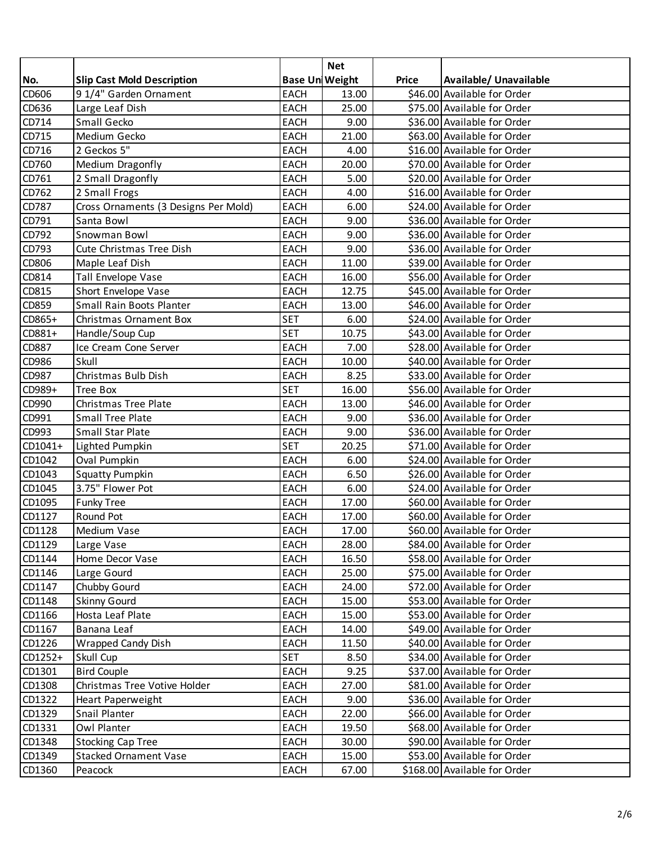|         |                                      |                       | <b>Net</b> |              |                              |
|---------|--------------------------------------|-----------------------|------------|--------------|------------------------------|
| No.     | <b>Slip Cast Mold Description</b>    | <b>Base UniWeight</b> |            | <b>Price</b> | Available/ Unavailable       |
| CD606   | 9 1/4" Garden Ornament               | <b>EACH</b>           | 13.00      |              | \$46.00 Available for Order  |
| CD636   | Large Leaf Dish                      | <b>EACH</b>           | 25.00      |              | \$75.00 Available for Order  |
| CD714   | Small Gecko                          | <b>EACH</b>           | 9.00       |              | \$36.00 Available for Order  |
| CD715   | Medium Gecko                         | <b>EACH</b>           | 21.00      |              | \$63.00 Available for Order  |
| CD716   | 2 Geckos 5"                          | <b>EACH</b>           | 4.00       |              | \$16.00 Available for Order  |
| CD760   | Medium Dragonfly                     | <b>EACH</b>           | 20.00      |              | \$70.00 Available for Order  |
| CD761   | 2 Small Dragonfly                    | EACH                  | 5.00       |              | \$20.00 Available for Order  |
| CD762   | 2 Small Frogs                        | <b>EACH</b>           | 4.00       |              | \$16.00 Available for Order  |
| CD787   | Cross Ornaments (3 Designs Per Mold) | EACH                  | 6.00       |              | \$24.00 Available for Order  |
| CD791   | Santa Bowl                           | <b>EACH</b>           | 9.00       |              | \$36.00 Available for Order  |
| CD792   | Snowman Bowl                         | <b>EACH</b>           | 9.00       |              | \$36.00 Available for Order  |
| CD793   | Cute Christmas Tree Dish             | <b>EACH</b>           | 9.00       |              | \$36.00 Available for Order  |
| CD806   | Maple Leaf Dish                      | <b>EACH</b>           | 11.00      |              | \$39.00 Available for Order  |
| CD814   | Tall Envelope Vase                   | <b>EACH</b>           | 16.00      |              | \$56.00 Available for Order  |
| CD815   | Short Envelope Vase                  | <b>EACH</b>           | 12.75      |              | \$45.00 Available for Order  |
| CD859   | Small Rain Boots Planter             | EACH                  | 13.00      |              | \$46.00 Available for Order  |
| CD865+  | Christmas Ornament Box               | <b>SET</b>            | 6.00       |              | \$24.00 Available for Order  |
| CD881+  | Handle/Soup Cup                      | <b>SET</b>            | 10.75      |              | \$43.00 Available for Order  |
| CD887   | Ice Cream Cone Server                | <b>EACH</b>           | 7.00       |              | \$28.00 Available for Order  |
| CD986   | Skull                                | <b>EACH</b>           | 10.00      |              | \$40.00 Available for Order  |
| CD987   | Christmas Bulb Dish                  | EACH                  | 8.25       |              | \$33.00 Available for Order  |
| CD989+  | <b>Tree Box</b>                      | <b>SET</b>            | 16.00      |              | \$56.00 Available for Order  |
| CD990   | Christmas Tree Plate                 | <b>EACH</b>           | 13.00      |              | \$46.00 Available for Order  |
| CD991   | <b>Small Tree Plate</b>              | <b>EACH</b>           | 9.00       |              | \$36.00 Available for Order  |
| CD993   | Small Star Plate                     | <b>EACH</b>           | 9.00       |              | \$36.00 Available for Order  |
| CD1041+ | Lighted Pumpkin                      | <b>SET</b>            | 20.25      |              | \$71.00 Available for Order  |
| CD1042  | Oval Pumpkin                         | <b>EACH</b>           | 6.00       |              | \$24.00 Available for Order  |
| CD1043  | <b>Squatty Pumpkin</b>               | <b>EACH</b>           | 6.50       |              | \$26.00 Available for Order  |
| CD1045  | 3.75" Flower Pot                     | <b>EACH</b>           | 6.00       |              | \$24.00 Available for Order  |
| CD1095  | <b>Funky Tree</b>                    | EACH                  | 17.00      |              | \$60.00 Available for Order  |
| CD1127  | Round Pot                            | <b>EACH</b>           | 17.00      |              | \$60.00 Available for Order  |
| CD1128  | Medium Vase                          | <b>EACH</b>           | 17.00      |              | \$60.00 Available for Order  |
| CD1129  | Large Vase                           | <b>EACH</b>           | 28.00      |              | \$84.00 Available for Order  |
| CD1144  | Home Decor Vase                      | EACH                  | 16.50      |              | \$58.00 Available for Order  |
| CD1146  | Large Gourd                          | EACH                  | 25.00      |              | \$75.00 Available for Order  |
| CD1147  | Chubby Gourd                         | <b>EACH</b>           | 24.00      |              | \$72.00 Available for Order  |
| CD1148  | <b>Skinny Gourd</b>                  | <b>EACH</b>           | 15.00      |              | \$53.00 Available for Order  |
| CD1166  | Hosta Leaf Plate                     | <b>EACH</b>           | 15.00      |              | \$53.00 Available for Order  |
| CD1167  | Banana Leaf                          | <b>EACH</b>           | 14.00      |              | \$49.00 Available for Order  |
| CD1226  | Wrapped Candy Dish                   | EACH                  | 11.50      |              | \$40.00 Available for Order  |
| CD1252+ | Skull Cup                            | <b>SET</b>            | 8.50       |              | \$34.00 Available for Order  |
| CD1301  | <b>Bird Couple</b>                   | EACH                  | 9.25       |              | \$37.00 Available for Order  |
| CD1308  | Christmas Tree Votive Holder         | <b>EACH</b>           | 27.00      |              | \$81.00 Available for Order  |
| CD1322  | Heart Paperweight                    | EACH                  | 9.00       |              | \$36.00 Available for Order  |
| CD1329  | Snail Planter                        | EACH                  | 22.00      |              | \$66.00 Available for Order  |
| CD1331  | Owl Planter                          | <b>EACH</b>           | 19.50      |              | \$68.00 Available for Order  |
| CD1348  | <b>Stocking Cap Tree</b>             | EACH                  | 30.00      |              | \$90.00 Available for Order  |
| CD1349  | <b>Stacked Ornament Vase</b>         | <b>EACH</b>           | 15.00      |              | \$53.00 Available for Order  |
| CD1360  | Peacock                              | <b>EACH</b>           | 67.00      |              | \$168.00 Available for Order |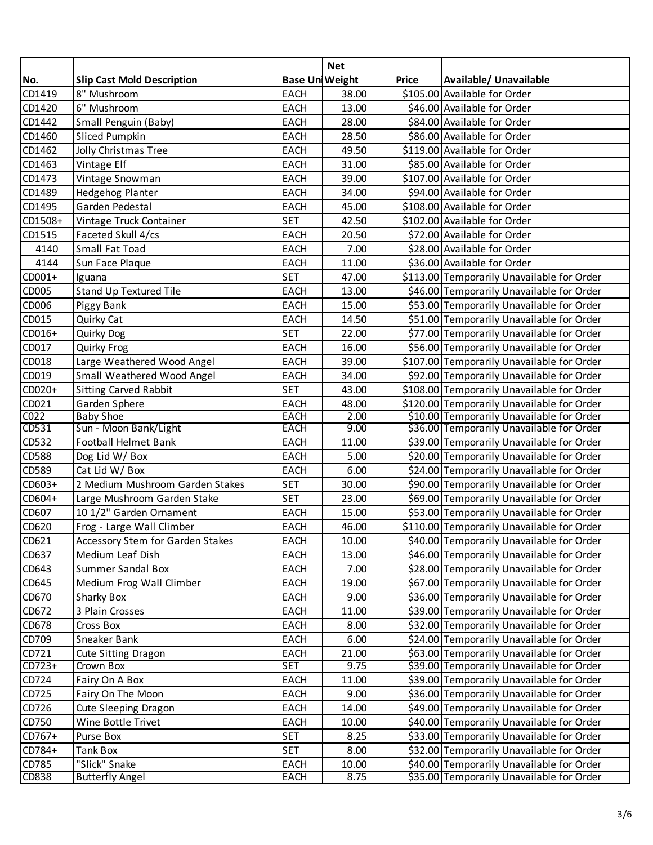|                  |                                   |                       | <b>Net</b> |              |                                            |
|------------------|-----------------------------------|-----------------------|------------|--------------|--------------------------------------------|
| No.              | <b>Slip Cast Mold Description</b> | <b>Base UniWeight</b> |            | <b>Price</b> | Available/ Unavailable                     |
| CD1419           | 8" Mushroom                       | <b>EACH</b>           | 38.00      |              | \$105.00 Available for Order               |
| CD1420           | 6" Mushroom                       | <b>EACH</b>           | 13.00      |              | \$46.00 Available for Order                |
| CD1442           | Small Penguin (Baby)              | <b>EACH</b>           | 28.00      |              | \$84.00 Available for Order                |
| CD1460           | <b>Sliced Pumpkin</b>             | <b>EACH</b>           | 28.50      |              | \$86.00 Available for Order                |
| CD1462           | Jolly Christmas Tree              | <b>EACH</b>           | 49.50      |              | \$119.00 Available for Order               |
| CD1463           | Vintage Elf                       | <b>EACH</b>           | 31.00      |              | \$85.00 Available for Order                |
| CD1473           | Vintage Snowman                   | <b>EACH</b>           | 39.00      |              | \$107.00 Available for Order               |
| CD1489           | Hedgehog Planter                  | <b>EACH</b>           | 34.00      |              | \$94.00 Available for Order                |
| CD1495           | Garden Pedestal                   | <b>EACH</b>           | 45.00      |              | \$108.00 Available for Order               |
| CD1508+          | Vintage Truck Container           | <b>SET</b>            | 42.50      |              | \$102.00 Available for Order               |
| CD1515           | Faceted Skull 4/cs                | <b>EACH</b>           | 20.50      |              | \$72.00 Available for Order                |
| 4140             | Small Fat Toad                    | EACH                  | 7.00       |              | \$28.00 Available for Order                |
| 4144             | Sun Face Plaque                   | <b>EACH</b>           | 11.00      |              | \$36.00 Available for Order                |
| $CD001+$         | Iguana                            | <b>SET</b>            | 47.00      |              | \$113.00 Temporarily Unavailable for Order |
| CD005            | Stand Up Textured Tile            | <b>EACH</b>           | 13.00      |              | \$46.00 Temporarily Unavailable for Order  |
| CD006            | Piggy Bank                        | <b>EACH</b>           | 15.00      |              | \$53.00 Temporarily Unavailable for Order  |
| CD015            | Quirky Cat                        | <b>EACH</b>           | 14.50      |              | \$51.00 Temporarily Unavailable for Order  |
| $CD016+$         | Quirky Dog                        | <b>SET</b>            | 22.00      |              | \$77.00 Temporarily Unavailable for Order  |
| CD017            | Quirky Frog                       | <b>EACH</b>           | 16.00      |              | \$56.00 Temporarily Unavailable for Order  |
| CD018            | Large Weathered Wood Angel        | <b>EACH</b>           | 39.00      |              | \$107.00 Temporarily Unavailable for Order |
| CD019            | Small Weathered Wood Angel        | <b>EACH</b>           | 34.00      |              | \$92.00 Temporarily Unavailable for Order  |
| CD020+           | <b>Sitting Carved Rabbit</b>      | <b>SET</b>            | 43.00      |              | \$108.00 Temporarily Unavailable for Order |
| CD021            | Garden Sphere                     | <b>EACH</b>           | 48.00      |              | \$120.00 Temporarily Unavailable for Order |
| CO <sub>22</sub> | <b>Baby Shoe</b>                  | <b>EACH</b>           | 2.00       |              | \$10.00 Temporarily Unavailable for Order  |
| CD531            | Sun - Moon Bank/Light             | <b>EACH</b>           | 9.00       |              | \$36.00 Temporarily Unavailable for Order  |
| CD532            | Football Helmet Bank              | <b>EACH</b>           | 11.00      |              | \$39.00 Temporarily Unavailable for Order  |
| CD588            | Dog Lid W/ Box                    | <b>EACH</b>           | 5.00       |              | \$20.00 Temporarily Unavailable for Order  |
| CD589            | Cat Lid W/ Box                    | <b>EACH</b>           | 6.00       |              | \$24.00 Temporarily Unavailable for Order  |
| CD603+           | 2 Medium Mushroom Garden Stakes   | <b>SET</b>            | 30.00      |              | \$90.00 Temporarily Unavailable for Order  |
| CD604+           | Large Mushroom Garden Stake       | <b>SET</b>            | 23.00      |              | \$69.00 Temporarily Unavailable for Order  |
| CD607            | 10 1/2" Garden Ornament           | <b>EACH</b>           | 15.00      |              | \$53.00 Temporarily Unavailable for Order  |
| CD620            | Frog - Large Wall Climber         | <b>EACH</b>           | 46.00      |              | \$110.00 Temporarily Unavailable for Order |
| CD621            | Accessory Stem for Garden Stakes  | <b>EACH</b>           | 10.00      |              | \$40.00 Temporarily Unavailable for Order  |
| CD637            | Medium Leaf Dish                  | <b>EACH</b>           | 13.00      |              | \$46.00 Temporarily Unavailable for Order  |
| CD643            | <b>Summer Sandal Box</b>          | EACH                  | 7.00       |              | \$28.00 Temporarily Unavailable for Order  |
| CD645            | Medium Frog Wall Climber          | EACH                  | 19.00      |              | \$67.00 Temporarily Unavailable for Order  |
| CD670            | Sharky Box                        | EACH                  | 9.00       |              | \$36.00 Temporarily Unavailable for Order  |
| CD672            | 3 Plain Crosses                   | EACH                  | 11.00      |              | \$39.00 Temporarily Unavailable for Order  |
| CD678            | Cross Box                         | <b>EACH</b>           | 8.00       |              | \$32.00 Temporarily Unavailable for Order  |
| CD709            | Sneaker Bank                      | EACH                  | 6.00       |              | \$24.00 Temporarily Unavailable for Order  |
| CD721            | Cute Sitting Dragon               | <b>EACH</b>           | 21.00      |              | \$63.00 Temporarily Unavailable for Order  |
| $CD723+$         | Crown Box                         | <b>SET</b>            | 9.75       |              | \$39.00 Temporarily Unavailable for Order  |
| CD724            | Fairy On A Box                    | <b>EACH</b>           | 11.00      |              | \$39.00 Temporarily Unavailable for Order  |
| CD725            | Fairy On The Moon                 | <b>EACH</b>           | 9.00       |              | \$36.00 Temporarily Unavailable for Order  |
| CD726            | Cute Sleeping Dragon              | EACH                  | 14.00      |              | \$49.00 Temporarily Unavailable for Order  |
| CD750            | Wine Bottle Trivet                | <b>EACH</b>           | 10.00      |              | \$40.00 Temporarily Unavailable for Order  |
| CD767+           | Purse Box                         | <b>SET</b>            | 8.25       |              | \$33.00 Temporarily Unavailable for Order  |
| CD784+           | Tank Box                          | <b>SET</b>            | 8.00       |              | \$32.00 Temporarily Unavailable for Order  |
| CD785            | "Slick" Snake                     | <b>EACH</b>           | 10.00      |              | \$40.00 Temporarily Unavailable for Order  |
| <b>CD838</b>     | <b>Butterfly Angel</b>            | <b>EACH</b>           | 8.75       |              | \$35.00 Temporarily Unavailable for Order  |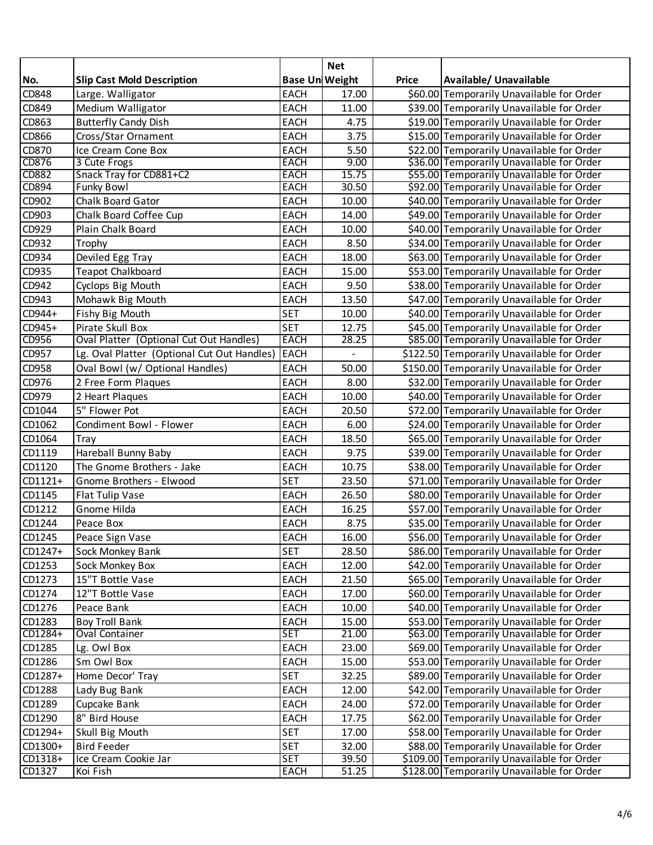|              |                                             |                       | <b>Net</b> |              |                                            |
|--------------|---------------------------------------------|-----------------------|------------|--------------|--------------------------------------------|
| No.          | <b>Slip Cast Mold Description</b>           | <b>Base UniWeight</b> |            | <b>Price</b> | Available/ Unavailable                     |
| CD848        | Large. Walligator                           | <b>EACH</b>           | 17.00      |              | \$60.00 Temporarily Unavailable for Order  |
| CD849        | Medium Walligator                           | <b>EACH</b>           | 11.00      |              | \$39.00 Temporarily Unavailable for Order  |
| CD863        | <b>Butterfly Candy Dish</b>                 | <b>EACH</b>           | 4.75       |              | \$19.00 Temporarily Unavailable for Order  |
| CD866        | Cross/Star Ornament                         | <b>EACH</b>           | 3.75       |              | \$15.00 Temporarily Unavailable for Order  |
| CD870        | Ice Cream Cone Box                          | <b>EACH</b>           | 5.50       |              | \$22.00 Temporarily Unavailable for Order  |
| CD876        | 3 Cute Frogs                                | <b>EACH</b>           | 9.00       |              | \$36.00 Temporarily Unavailable for Order  |
| <b>CD882</b> | Snack Tray for CD881+C2                     | <b>EACH</b>           | 15.75      |              | \$55.00 Temporarily Unavailable for Order  |
| CD894        | <b>Funky Bowl</b>                           | <b>EACH</b>           | 30.50      |              | \$92.00 Temporarily Unavailable for Order  |
| CD902        | Chalk Board Gator                           | <b>EACH</b>           | 10.00      |              | \$40.00 Temporarily Unavailable for Order  |
| CD903        | Chalk Board Coffee Cup                      | <b>EACH</b>           | 14.00      |              | \$49.00 Temporarily Unavailable for Order  |
| CD929        | Plain Chalk Board                           | <b>EACH</b>           | 10.00      |              | \$40.00 Temporarily Unavailable for Order  |
| CD932        | Trophy                                      | <b>EACH</b>           | 8.50       |              | \$34.00 Temporarily Unavailable for Order  |
| CD934        | Deviled Egg Tray                            | <b>EACH</b>           | 18.00      |              | \$63.00 Temporarily Unavailable for Order  |
| CD935        | <b>Teapot Chalkboard</b>                    | <b>EACH</b>           | 15.00      |              | \$53.00 Temporarily Unavailable for Order  |
| CD942        | Cyclops Big Mouth                           | <b>EACH</b>           | 9.50       |              | \$38.00 Temporarily Unavailable for Order  |
| CD943        | Mohawk Big Mouth                            | <b>EACH</b>           | 13.50      |              | \$47.00 Temporarily Unavailable for Order  |
| CD944+       | Fishy Big Mouth                             | <b>SET</b>            | 10.00      |              | \$40.00 Temporarily Unavailable for Order  |
| CD945+       | Pirate Skull Box                            | <b>SET</b>            | 12.75      |              | \$45.00 Temporarily Unavailable for Order  |
| CD956        | Oval Platter (Optional Cut Out Handles)     | <b>EACH</b>           | 28.25      |              | \$85.00 Temporarily Unavailable for Order  |
| CD957        | Lg. Oval Platter (Optional Cut Out Handles) | <b>EACH</b>           |            |              | \$122.50 Temporarily Unavailable for Order |
| CD958        | Oval Bowl (w/ Optional Handles)             | EACH                  | 50.00      |              | \$150.00 Temporarily Unavailable for Order |
| CD976        | 2 Free Form Plaques                         | <b>EACH</b>           | 8.00       |              | \$32.00 Temporarily Unavailable for Order  |
| CD979        | 2 Heart Plaques                             | <b>EACH</b>           | 10.00      |              | \$40.00 Temporarily Unavailable for Order  |
| CD1044       | 5" Flower Pot                               | <b>EACH</b>           | 20.50      |              | \$72.00 Temporarily Unavailable for Order  |
| CD1062       | Condiment Bowl - Flower                     | <b>EACH</b>           | 6.00       |              | \$24.00 Temporarily Unavailable for Order  |
| CD1064       | Tray                                        | <b>EACH</b>           | 18.50      |              | \$65.00 Temporarily Unavailable for Order  |
| CD1119       | Hareball Bunny Baby                         | <b>EACH</b>           | 9.75       |              | \$39.00 Temporarily Unavailable for Order  |
| CD1120       | The Gnome Brothers - Jake                   | <b>EACH</b>           | 10.75      |              | \$38.00 Temporarily Unavailable for Order  |
| $CD1121+$    | Gnome Brothers - Elwood                     | <b>SET</b>            | 23.50      |              | \$71.00 Temporarily Unavailable for Order  |
| CD1145       | Flat Tulip Vase                             | <b>EACH</b>           | 26.50      |              | \$80.00 Temporarily Unavailable for Order  |
| CD1212       | Gnome Hilda                                 | <b>EACH</b>           | 16.25      |              | \$57.00 Temporarily Unavailable for Order  |
| CD1244       | Peace Box                                   | <b>EACH</b>           | 8.75       |              | \$35.00 Temporarily Unavailable for Order  |
| CD1245       | Peace Sign Vase                             | EACH                  | 16.00      |              | \$56.00 Temporarily Unavailable for Order  |
| CD1247+      | Sock Monkey Bank                            | <b>SET</b>            | 28.50      |              | \$86.00 Temporarily Unavailable for Order  |
| CD1253       | Sock Monkey Box                             | <b>EACH</b>           | 12.00      |              | \$42.00 Temporarily Unavailable for Order  |
| CD1273       | 15"T Bottle Vase                            | <b>EACH</b>           | 21.50      |              | \$65.00 Temporarily Unavailable for Order  |
| CD1274       | 12"T Bottle Vase                            | EACH                  | 17.00      |              | \$60.00 Temporarily Unavailable for Order  |
| CD1276       | Peace Bank                                  | <b>EACH</b>           | 10.00      |              | \$40.00 Temporarily Unavailable for Order  |
| CD1283       | <b>Boy Troll Bank</b>                       | <b>EACH</b>           | 15.00      |              | \$53.00 Temporarily Unavailable for Order  |
| $CD1284+$    | <b>Oval Container</b>                       | <b>SET</b>            | 21.00      |              | \$63.00 Temporarily Unavailable for Order  |
| CD1285       | Lg. Owl Box                                 | <b>EACH</b>           | 23.00      |              | \$69.00 Temporarily Unavailable for Order  |
| CD1286       | Sm Owl Box                                  | <b>EACH</b>           | 15.00      |              | \$53.00 Temporarily Unavailable for Order  |
| CD1287+      | Home Decor' Tray                            | <b>SET</b>            | 32.25      |              | \$89.00 Temporarily Unavailable for Order  |
| CD1288       | Lady Bug Bank                               | <b>EACH</b>           | 12.00      |              | \$42.00 Temporarily Unavailable for Order  |
| CD1289       | Cupcake Bank                                | <b>EACH</b>           | 24.00      |              | \$72.00 Temporarily Unavailable for Order  |
| CD1290       | 8" Bird House                               | <b>EACH</b>           | 17.75      |              | \$62.00 Temporarily Unavailable for Order  |
| CD1294+      | Skull Big Mouth                             | <b>SET</b>            | 17.00      |              | \$58.00 Temporarily Unavailable for Order  |
| CD1300+      | <b>Bird Feeder</b>                          | <b>SET</b>            | 32.00      |              | \$88.00 Temporarily Unavailable for Order  |
| CD1318+      | Ice Cream Cookie Jar                        | <b>SET</b>            | 39.50      |              | \$109.00 Temporarily Unavailable for Order |
| CD1327       | Koi Fish                                    | <b>EACH</b>           | 51.25      |              | \$128.00 Temporarily Unavailable for Order |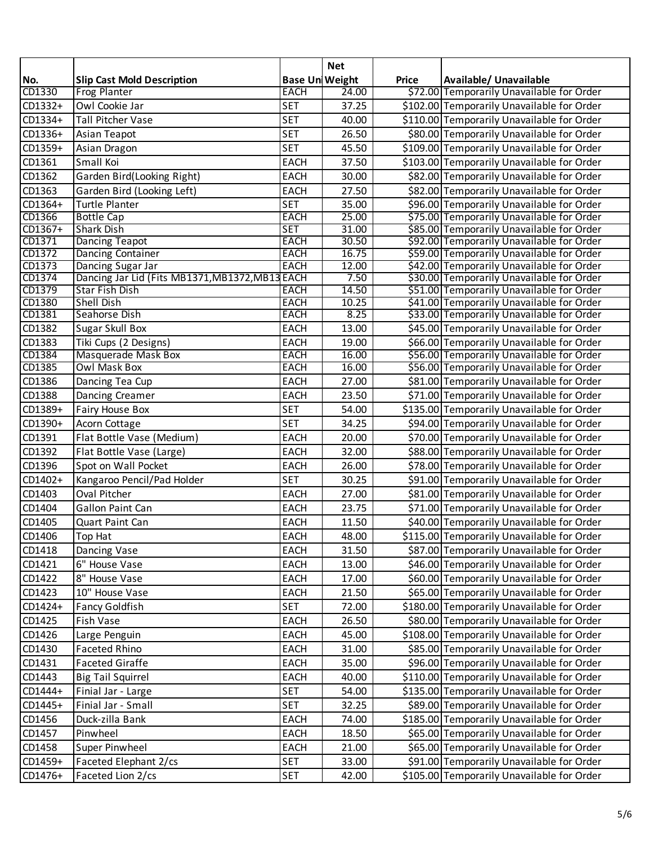|         |                                                 |                       | <b>Net</b> |              |                                            |
|---------|-------------------------------------------------|-----------------------|------------|--------------|--------------------------------------------|
| No.     | <b>Slip Cast Mold Description</b>               | <b>Base UniWeight</b> |            | <b>Price</b> | Available/ Unavailable                     |
| CD1330  | <b>Frog Planter</b>                             | <b>EACH</b>           | 24.00      |              | \$72.00 Temporarily Unavailable for Order  |
| CD1332+ | Owl Cookie Jar                                  | <b>SET</b>            | 37.25      |              | \$102.00 Temporarily Unavailable for Order |
| CD1334+ | <b>Tall Pitcher Vase</b>                        | <b>SET</b>            | 40.00      |              | \$110.00 Temporarily Unavailable for Order |
| CD1336+ | Asian Teapot                                    | <b>SET</b>            | 26.50      |              | \$80.00 Temporarily Unavailable for Order  |
| CD1359+ | Asian Dragon                                    | <b>SET</b>            | 45.50      |              | \$109.00 Temporarily Unavailable for Order |
| CD1361  | Small Koi                                       | <b>EACH</b>           | 37.50      |              | \$103.00 Temporarily Unavailable for Order |
| CD1362  | Garden Bird(Looking Right)                      | <b>EACH</b>           | 30.00      |              | \$82.00 Temporarily Unavailable for Order  |
| CD1363  | Garden Bird (Looking Left)                      | <b>EACH</b>           | 27.50      |              | \$82.00 Temporarily Unavailable for Order  |
| CD1364+ | <b>Turtle Planter</b>                           | <b>SET</b>            | 35.00      |              | \$96.00 Temporarily Unavailable for Order  |
| CD1366  | <b>Bottle Cap</b>                               | <b>EACH</b>           | 25.00      |              | \$75.00 Temporarily Unavailable for Order  |
| CD1367+ | <b>Shark Dish</b>                               | <b>SET</b>            | 31.00      |              | \$85.00 Temporarily Unavailable for Order  |
| CD1371  | <b>Dancing Teapot</b>                           | <b>EACH</b>           | 30.50      |              | \$92.00 Temporarily Unavailable for Order  |
| CD1372  | <b>Dancing Container</b>                        | <b>EACH</b>           | 16.75      |              | \$59.00 Temporarily Unavailable for Order  |
| CD1373  | Dancing Sugar Jar                               | <b>EACH</b>           | 12.00      |              | \$42.00 Temporarily Unavailable for Order  |
| CD1374  | Dancing Jar Lid (Fits MB1371, MB1372, MB13 EACH |                       | 7.50       |              | \$30.00 Temporarily Unavailable for Order  |
| CD1379  | <b>Star Fish Dish</b>                           | <b>EACH</b>           | 14.50      |              | \$51.00 Temporarily Unavailable for Order  |
| CD1380  | <b>Shell Dish</b>                               | <b>EACH</b>           | 10.25      |              | \$41.00 Temporarily Unavailable for Order  |
| CD1381  | Seahorse Dish                                   | <b>EACH</b>           | 8.25       |              | \$33.00 Temporarily Unavailable for Order  |
| CD1382  | Sugar Skull Box                                 | <b>EACH</b>           | 13.00      |              | \$45.00 Temporarily Unavailable for Order  |
| CD1383  | Tiki Cups (2 Designs)                           | <b>EACH</b>           | 19.00      |              | \$66.00 Temporarily Unavailable for Order  |
| CD1384  | Masquerade Mask Box                             | <b>EACH</b>           | 16.00      |              | \$56.00 Temporarily Unavailable for Order  |
| CD1385  | <b>Owl Mask Box</b>                             | <b>EACH</b>           | 16.00      |              | \$56.00 Temporarily Unavailable for Order  |
| CD1386  | Dancing Tea Cup                                 | <b>EACH</b>           | 27.00      |              | \$81.00 Temporarily Unavailable for Order  |
| CD1388  | Dancing Creamer                                 | <b>EACH</b>           | 23.50      |              | \$71.00 Temporarily Unavailable for Order  |
| CD1389+ | Fairy House Box                                 | <b>SET</b>            | 54.00      |              | \$135.00 Temporarily Unavailable for Order |
| CD1390+ | Acorn Cottage                                   | <b>SET</b>            | 34.25      |              | \$94.00 Temporarily Unavailable for Order  |
| CD1391  | Flat Bottle Vase (Medium)                       | <b>EACH</b>           | 20.00      |              | \$70.00 Temporarily Unavailable for Order  |
| CD1392  | Flat Bottle Vase (Large)                        | <b>EACH</b>           | 32.00      |              | \$88.00 Temporarily Unavailable for Order  |
| CD1396  | Spot on Wall Pocket                             | <b>EACH</b>           | 26.00      |              | \$78.00 Temporarily Unavailable for Order  |
| CD1402+ | Kangaroo Pencil/Pad Holder                      | <b>SET</b>            | 30.25      |              | \$91.00 Temporarily Unavailable for Order  |
| CD1403  | Oval Pitcher                                    | <b>EACH</b>           | 27.00      |              | \$81.00 Temporarily Unavailable for Order  |
| CD1404  | Gallon Paint Can                                | <b>EACH</b>           | 23.75      |              | \$71.00 Temporarily Unavailable for Order  |
| CD1405  | Quart Paint Can                                 | <b>EACH</b>           | 11.50      |              | \$40.00 Temporarily Unavailable for Order  |
| CD1406  | Top Hat                                         | <b>EACH</b>           | 48.00      |              | \$115.00 Temporarily Unavailable for Order |
| CD1418  | Dancing Vase                                    | <b>EACH</b>           | 31.50      |              | \$87.00 Temporarily Unavailable for Order  |
| CD1421  | 6" House Vase                                   | <b>EACH</b>           | 13.00      |              | \$46.00 Temporarily Unavailable for Order  |
| CD1422  | 8" House Vase                                   | <b>EACH</b>           | 17.00      |              | \$60.00 Temporarily Unavailable for Order  |
| CD1423  | 10" House Vase                                  | EACH                  | 21.50      |              | \$65.00 Temporarily Unavailable for Order  |
| CD1424+ | <b>Fancy Goldfish</b>                           | <b>SET</b>            | 72.00      |              | \$180.00 Temporarily Unavailable for Order |
| CD1425  | Fish Vase                                       |                       |            |              | \$80.00 Temporarily Unavailable for Order  |
|         |                                                 | <b>EACH</b>           | 26.50      |              |                                            |
| CD1426  | Large Penguin                                   | EACH                  | 45.00      |              | \$108.00 Temporarily Unavailable for Order |
| CD1430  | <b>Faceted Rhino</b>                            | EACH                  | 31.00      |              | \$85.00 Temporarily Unavailable for Order  |
| CD1431  | <b>Faceted Giraffe</b>                          | EACH                  | 35.00      |              | \$96.00 Temporarily Unavailable for Order  |
| CD1443  | <b>Big Tail Squirrel</b>                        | <b>EACH</b>           | 40.00      |              | \$110.00 Temporarily Unavailable for Order |
| CD1444+ | Finial Jar - Large                              | <b>SET</b>            | 54.00      |              | \$135.00 Temporarily Unavailable for Order |
| CD1445+ | Finial Jar - Small                              | <b>SET</b>            | 32.25      |              | \$89.00 Temporarily Unavailable for Order  |
| CD1456  | Duck-zilla Bank                                 | <b>EACH</b>           | 74.00      |              | \$185.00 Temporarily Unavailable for Order |
| CD1457  | Pinwheel                                        | EACH                  | 18.50      |              | \$65.00 Temporarily Unavailable for Order  |
| CD1458  | Super Pinwheel                                  | <b>EACH</b>           | 21.00      |              | \$65.00 Temporarily Unavailable for Order  |
| CD1459+ | Faceted Elephant 2/cs                           | <b>SET</b>            | 33.00      |              | \$91.00 Temporarily Unavailable for Order  |
| CD1476+ | Faceted Lion 2/cs                               | <b>SET</b>            | 42.00      |              | \$105.00 Temporarily Unavailable for Order |